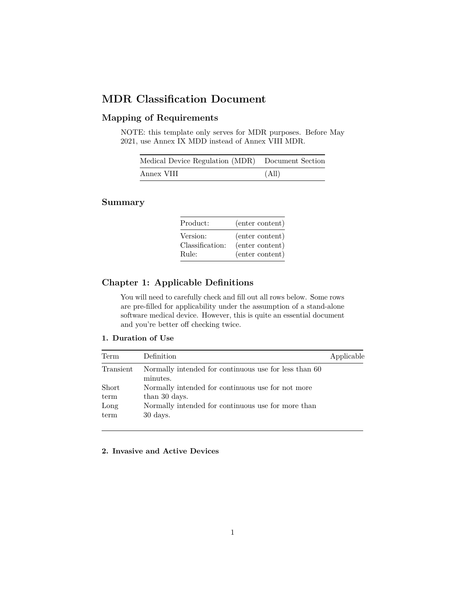# **MDR Classification Document**

# **Mapping of Requirements**

NOTE: this template only serves for MDR purposes. Before May 2021, use Annex IX MDD instead of Annex VIII MDR.

| Medical Device Regulation (MDR) Document Section |       |
|--------------------------------------------------|-------|
| Annex VIII                                       | (All) |

# **Summary**

| Product:        | (enter content) |
|-----------------|-----------------|
| Version:        | (enter content) |
| Classification: | (enter content) |
| Rule:           | (enter content) |

# **Chapter 1: Applicable Definitions**

You will need to carefully check and fill out all rows below. Some rows are pre-filled for applicability under the assumption of a stand-alone software medical device. However, this is quite an essential document and you're better off checking twice.

### **1. Duration of Use**

| Term      | Definition                                                        | Applicable |
|-----------|-------------------------------------------------------------------|------------|
| Transient | Normally intended for continuous use for less than 60<br>minutes. |            |
| Short     | Normally intended for continuous use for not more                 |            |
| term      | than 30 days.                                                     |            |
| Long      | Normally intended for continuous use for more than                |            |
| term      | $30 \ \mathrm{days}.$                                             |            |

### **2. Invasive and Active Devices**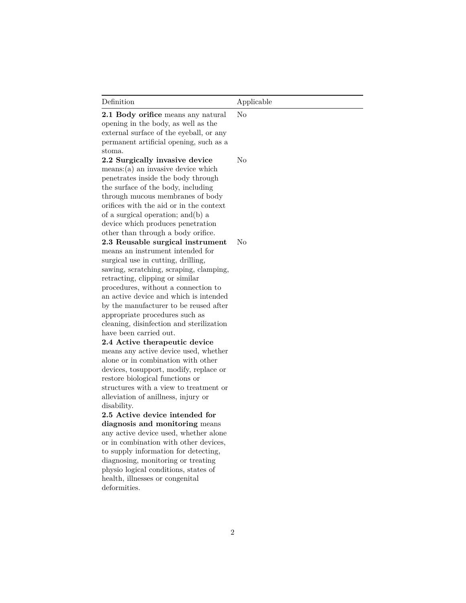| Definition                                                                                                                                                                                                                                                                                                                                                                                                                  | Applicable |
|-----------------------------------------------------------------------------------------------------------------------------------------------------------------------------------------------------------------------------------------------------------------------------------------------------------------------------------------------------------------------------------------------------------------------------|------------|
| 2.1 Body orifice means any natural<br>opening in the body, as well as the<br>external surface of the eyeball, or any<br>permanent artificial opening, such as a<br>$_{\rm stoma.}$                                                                                                                                                                                                                                          | No         |
| 2.2 Surgically invasive device<br>$means:(a)$ an invasive device which<br>penetrates inside the body through<br>the surface of the body, including<br>through mucous membranes of body<br>orifices with the aid or in the context<br>of a surgical operation; and (b) a<br>device which produces penetration<br>other than through a body orifice.                                                                          | No         |
| 2.3 Reusable surgical instrument<br>means an instrument intended for<br>surgical use in cutting, drilling,<br>sawing, scratching, scraping, clamping,<br>retracting, clipping or similar<br>procedures, without a connection to<br>an active device and which is intended<br>by the manufacturer to be reused after<br>appropriate procedures such as<br>cleaning, disinfection and sterilization<br>have been carried out. | No         |
| 2.4 Active therapeutic device<br>means any active device used, whether<br>alone or in combination with other<br>devices, tosupport, modify, replace or<br>restore biological functions or<br>structures with a view to treatment or<br>alleviation of anillness, injury or<br>disability.                                                                                                                                   |            |
| 2.5 Active device intended for<br>diagnosis and monitoring means<br>any active device used, whether alone<br>or in combination with other devices,<br>to supply information for detecting,<br>diagnosing, monitoring or treating<br>physio logical conditions, states of<br>health, illnesses or congenital<br>deformities.                                                                                                 |            |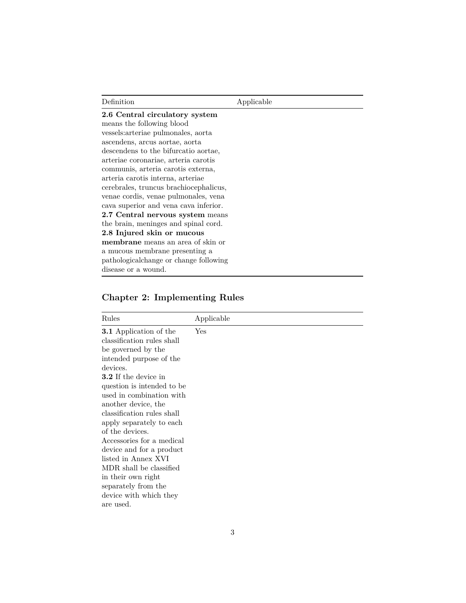| Definition                             | Applicable |
|----------------------------------------|------------|
| 2.6 Central circulatory system         |            |
| means the following blood              |            |
| vessels: arteriae pulmonales, aorta    |            |
| ascendens, arcus aortae, aorta         |            |
| descendens to the bifurcatio aortae,   |            |
| arteriae coronariae, arteria carotis   |            |
| communis, arteria carotis externa,     |            |
| arteria carotis interna, arteriae      |            |
| cerebrales, truncus brachiocephalicus, |            |
| venae cordis, venae pulmonales, vena   |            |
| cava superior and vena cava inferior.  |            |
| 2.7 Central nervous system means       |            |
| the brain, meninges and spinal cord.   |            |
| 2.8 Injured skin or mucous             |            |
| membrane means an area of skin or      |            |
| a mucous membrane presenting a         |            |
| pathologicalchange or change following |            |
| disease or a wound.                    |            |

# **Chapter 2: Implementing Rules**

| Rules                                                                                                                                                                                                                                                                                                                                                                                                                                                                                                                | Applicable |
|----------------------------------------------------------------------------------------------------------------------------------------------------------------------------------------------------------------------------------------------------------------------------------------------------------------------------------------------------------------------------------------------------------------------------------------------------------------------------------------------------------------------|------------|
| <b>3.1</b> Application of the<br>classification rules shall<br>be governed by the<br>intended purpose of the<br>devices.<br><b>3.2</b> If the device in<br>question is intended to be<br>used in combination with<br>another device, the<br>classification rules shall<br>apply separately to each<br>of the devices.<br>Accessories for a medical<br>device and for a product<br>listed in Annex XVI<br>MDR shall be classified<br>in their own right<br>separately from the<br>device with which they<br>are used. | Yes        |
|                                                                                                                                                                                                                                                                                                                                                                                                                                                                                                                      |            |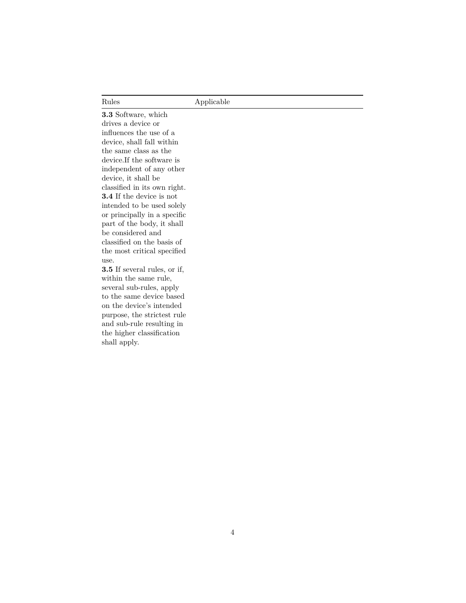| Rules | Applicable |
|-------|------------|
|       |            |

**3.3** Software, which drives a device or influences the use of a device, shall fall within the same class as the device.If the software is independent of any other device, it shall be classified in its own right. **3.4** If the device is not intended to be used solely or principally in a specific part of the body, it shall be considered and classified on the basis of the most critical specified use.

**3.5** If several rules, or if, within the same rule, several sub-rules, apply to the same device based on the device's intended purpose, the strictest rule and sub-rule resulting in the higher classification shall apply.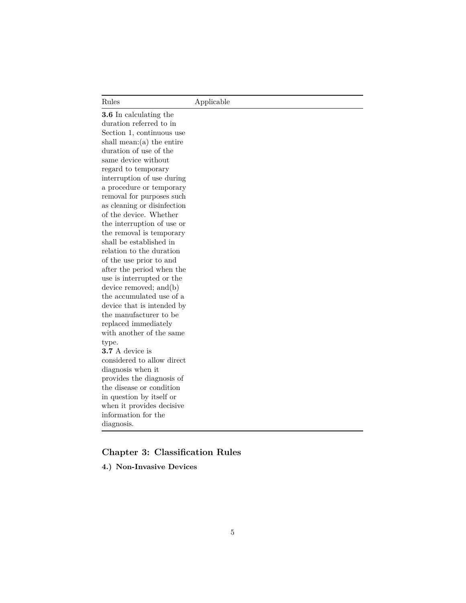| Rules | Applicable |  |
|-------|------------|--|

**3.6** In calculating the duration referred to in Section 1, continuous use shall mean:(a) the entire duration of use of the same device without regard to temporary interruption of use during a procedure or temporary removal for purposes such as cleaning or disinfection of the device. Whether the interruption of use or the removal is temporary shall be established in relation to the duration of the use prior to and after the period when the use is interrupted or the device removed; and(b) the accumulated use of a device that is intended by the manufacturer to be replaced immediately with another of the same type. **3.7** A device is considered to allow direct diagnosis when it provides the diagnosis of the disease or condition in question by itself or when it provides decisive information for the diagnosis.

# **Chapter 3: Classification Rules**

**4.) Non-Invasive Devices**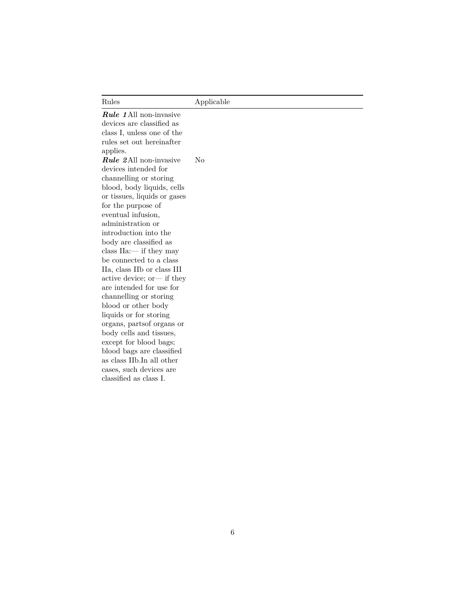*Rule 1*All non-invasive devices are classified as class I, unless one of the rules set out hereinafter applies. *Rule 2*All non-invasive devices intended for channelling or storing blood, body liquids, cells or tissues, liquids or gases for the purpose of eventual infusion, administration or introduction into the body are classified as class IIa:— if they may be connected to a class IIa, class IIb or class III active device; or— if they are intended for use for channelling or storing blood or other body liquids or for storing organs, partsof organs or body cells and tissues, except for blood bags; blood bags are classified as class IIb.In all other cases, such devices are classified as class I. No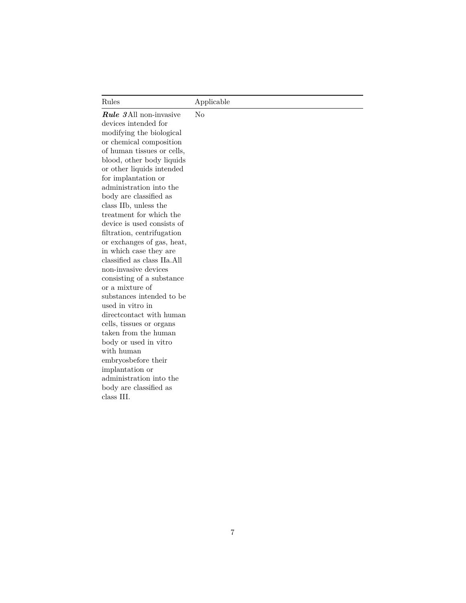| Rules                                                                                                                                                                                                                                                                                                                                                                                                                                                                                                                                                                                                                                                                                                                                                                                                                                                  | Applicable |
|--------------------------------------------------------------------------------------------------------------------------------------------------------------------------------------------------------------------------------------------------------------------------------------------------------------------------------------------------------------------------------------------------------------------------------------------------------------------------------------------------------------------------------------------------------------------------------------------------------------------------------------------------------------------------------------------------------------------------------------------------------------------------------------------------------------------------------------------------------|------------|
| <b>Rule</b> 3 All non-invasive<br>devices intended for<br>modifying the biological<br>or chemical composition<br>of human tissues or cells,<br>blood, other body liquids<br>or other liquids intended<br>for implantation or<br>administration into the<br>body are classified as<br>class IIb, unless the<br>treatment for which the<br>device is used consists of<br>filtration, centrifugation<br>or exchanges of gas, heat,<br>in which case they are<br>classified as class IIa.All<br>non-invasive devices<br>consisting of a substance<br>or a mixture of<br>substances intended to be<br>used in vitro in<br>direct contact with human<br>cells, tissues or organs<br>taken from the human<br>body or used in vitro<br>with human<br>embryosbefore their<br>implantation or<br>administration into the<br>body are classified as<br>class III. | No         |
|                                                                                                                                                                                                                                                                                                                                                                                                                                                                                                                                                                                                                                                                                                                                                                                                                                                        |            |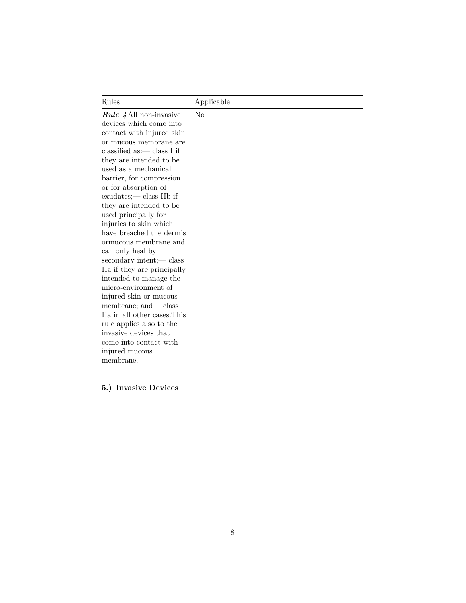| Rules                          | Applicable     |
|--------------------------------|----------------|
| <i>Rule 4</i> All non-invasive | N <sub>o</sub> |
| devices which come into        |                |
| contact with injured skin      |                |
| or mucous membrane are         |                |
| classified as: $-$ class I if  |                |
| they are intended to be        |                |
| used as a mechanical           |                |
| barrier, for compression       |                |
| or for absorption of           |                |
| exudates;— class IIb if        |                |
| they are intended to be        |                |
| used principally for           |                |
| injuries to skin which         |                |
| have breached the dermis       |                |
| ormucous membrane and          |                |
| can only heal by               |                |
| secondary intent;— class       |                |
| IIa if they are principally    |                |
| intended to manage the         |                |
| micro-environment of           |                |
| injured skin or mucous         |                |
| membrane; and— class           |                |
| IIa in all other cases. This   |                |
| rule applies also to the       |                |
| invasive devices that          |                |
| come into contact with         |                |
| injured mucous                 |                |
| membrane.                      |                |

**5.) Invasive Devices**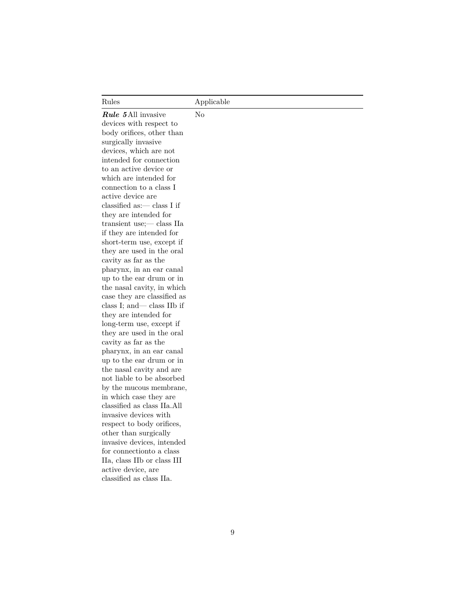No

*Rule 5*All invasive devices with respect to body orifices, other than surgically invasive devices, which are not intended for connection to an active device or which are intended for connection to a class I active device are classified as:— class I if they are intended for transient use;— class IIa if they are intended for short-term use, except if they are used in the oral cavity as far as the pharynx, in an ear canal up to the ear drum or in the nasal cavity, in which case they are classified as class I; and— class IIb if they are intended for long-term use, except if they are used in the oral cavity as far as the pharynx, in an ear canal up to the ear drum or in the nasal cavity and are not liable to be absorbed by the mucous membrane, in which case they are classified as class IIa.All invasive devices with respect to body orifices, other than surgically invasive devices, intended for connectionto a class IIa, class IIb or class III active device, are classified as class IIa.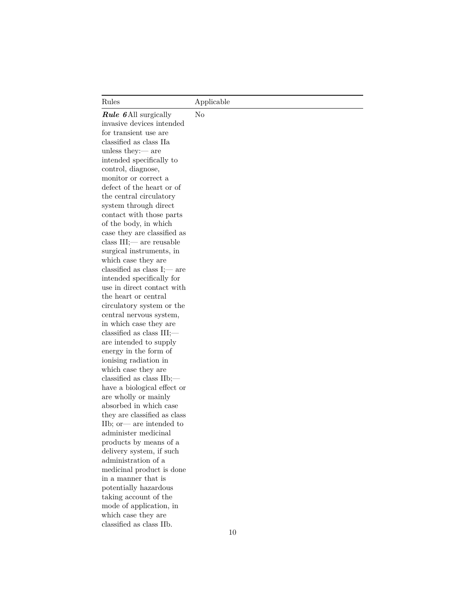| Rules                                                                              | Applicable     |
|------------------------------------------------------------------------------------|----------------|
| <b>Rule 6</b> All surgically<br>invasive devices intended<br>for transient use are | N <sub>o</sub> |
| classified as class IIa<br>unless they: $-$ are                                    |                |
| intended specifically to<br>control, diagnose,                                     |                |
| monitor or correct a                                                               |                |
| defect of the heart or of<br>the central circulatory                               |                |
| system through direct                                                              |                |
| contact with those parts                                                           |                |
| of the body, in which<br>case they are classified as                               |                |
| class $III$ ; $\rightarrow$ are reusable                                           |                |
| surgical instruments, in<br>which case they are                                    |                |
| classified as class $I$ ; — are                                                    |                |
| intended specifically for                                                          |                |
| use in direct contact with<br>the heart or central                                 |                |
| circulatory system or the                                                          |                |
| central nervous system,<br>in which case they are                                  |                |
| classified as class $III$ ;—                                                       |                |
| are intended to supply                                                             |                |
| energy in the form of<br>ionising radiation in                                     |                |
| which case they are                                                                |                |
| classified as class $IIb$ ;—                                                       |                |
| have a biological effect or<br>are wholly or mainly                                |                |
| absorbed in which case                                                             |                |
| they are classified as class<br>IIb; or — are intended to                          |                |
| administer medicinal                                                               |                |
| products by means of a                                                             |                |
| delivery system, if such<br>administration of a                                    |                |
| medicinal product is done                                                          |                |
| in a manner that is                                                                |                |
| potentially hazardous<br>taking account of the                                     |                |
| mode of application, in                                                            |                |
| which case they are                                                                |                |
| classified as class IIb.                                                           |                |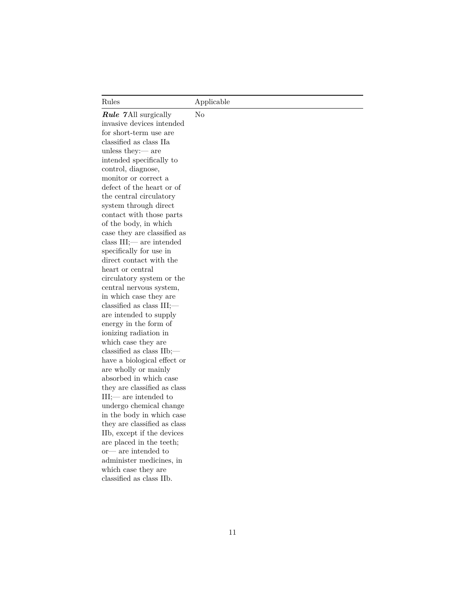| Rules                                                                                                                                                                                                                                                                                                                                                                                                                                                                                                                                                                                                                                                                                                                                                                                                                                                                                                                                                                                                                                                                                                                                                  | Applicable |
|--------------------------------------------------------------------------------------------------------------------------------------------------------------------------------------------------------------------------------------------------------------------------------------------------------------------------------------------------------------------------------------------------------------------------------------------------------------------------------------------------------------------------------------------------------------------------------------------------------------------------------------------------------------------------------------------------------------------------------------------------------------------------------------------------------------------------------------------------------------------------------------------------------------------------------------------------------------------------------------------------------------------------------------------------------------------------------------------------------------------------------------------------------|------------|
| <b>Rule 7All surgically</b><br>invasive devices intended<br>for short-term use are<br>classified as class IIa<br>unless they: $-$ are<br>intended specifically to<br>control, diagnose,<br>monitor or correct a<br>defect of the heart or of<br>the central circulatory<br>system through direct<br>contact with those parts<br>of the body, in which<br>case they are classified as<br>class $III$ ; are intended<br>specifically for use in<br>direct contact with the<br>heart or central<br>circulatory system or the<br>central nervous system,<br>in which case they are<br>classified as class $III$ ;—<br>are intended to supply<br>energy in the form of<br>ionizing radiation in<br>which case they are<br>classified as class $IIb$ ;—<br>have a biological effect or<br>are wholly or mainly<br>absorbed in which case<br>they are classified as class<br>$III$ ; are intended to<br>undergo chemical change<br>in the body in which case<br>they are classified as class<br>IIb, except if the devices<br>are placed in the teeth;<br>$or$ are intended to<br>administer medicines, in<br>which case they are<br>classified as class IIb. | No         |
|                                                                                                                                                                                                                                                                                                                                                                                                                                                                                                                                                                                                                                                                                                                                                                                                                                                                                                                                                                                                                                                                                                                                                        |            |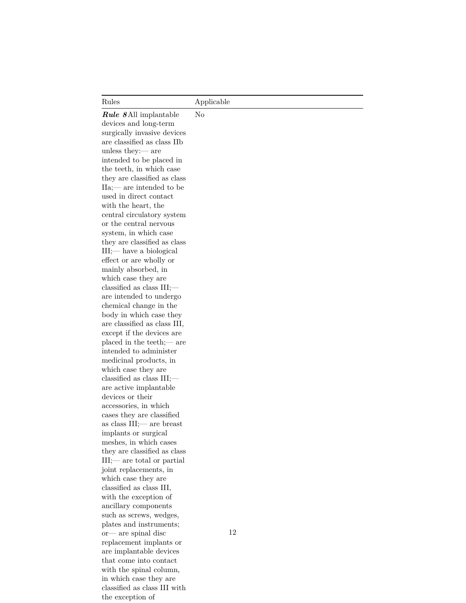No

*Rule 8*All implantable devices and long-term surgically invasive devices are classified as class IIb unless they:— are intended to be placed in the teeth, in which case they are classified as class IIa;— are intended to be used in direct contact with the heart, the central circulatory system or the central nervous system, in which case they are classified as class III;— have a biological effect or are wholly or mainly absorbed, in which case they are classified as class III; are intended to undergo chemical change in the body in which case they are classified as class III, except if the devices are placed in the teeth;— are intended to administer medicinal products, in which case they are classified as class III; are active implantable devices or their accessories, in which cases they are classified as class III;— are breast implants or surgical meshes, in which cases they are classified as class III;— are total or partial joint replacements, in which case they are classified as class III, with the exception of ancillary components such as screws, wedges, plates and instruments; or— are spinal disc replacement implants or are implantable devices that come into contact with the spinal column, in which case they are classified as class III with the exception of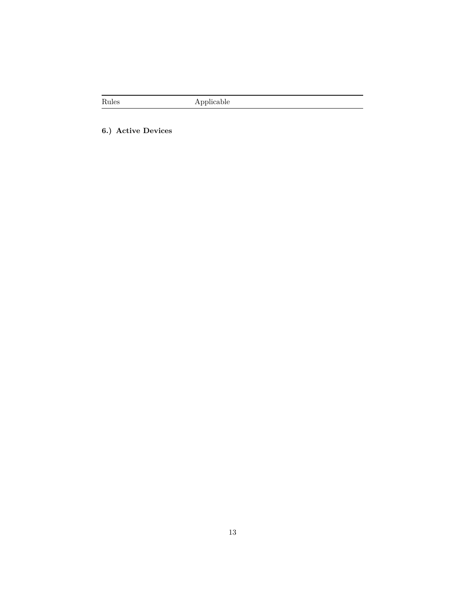**6.) Active Devices**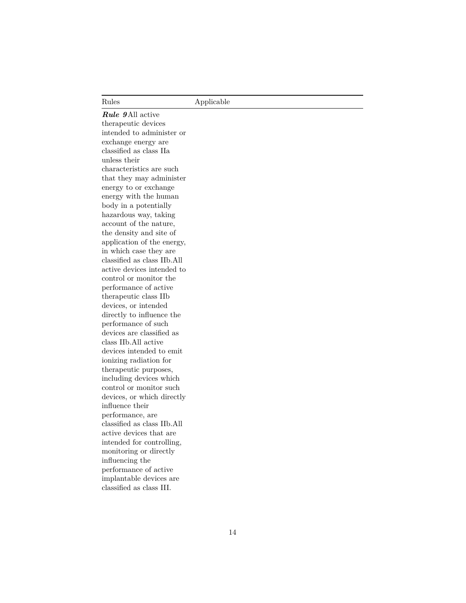*Rule 9*All active therapeutic devices intended to administer or exchange energy are classified as class IIa unless their characteristics are such that they may administer energy to or exchange energy with the human body in a potentially hazardous way, taking account of the nature, the density and site of application of the energy, in which case they are classified as class IIb.All active devices intended to control or monitor the performance of active therapeutic class IIb devices, or intended directly to influence the performance of such devices are classified as class IIb.All active devices intended to emit ionizing radiation for therapeutic purposes, including devices which control or monitor such devices, or which directly influence their performance, are classified as class IIb.All active devices that are intended for controlling, monitoring or directly influencing the performance of active implantable devices are classified as class III.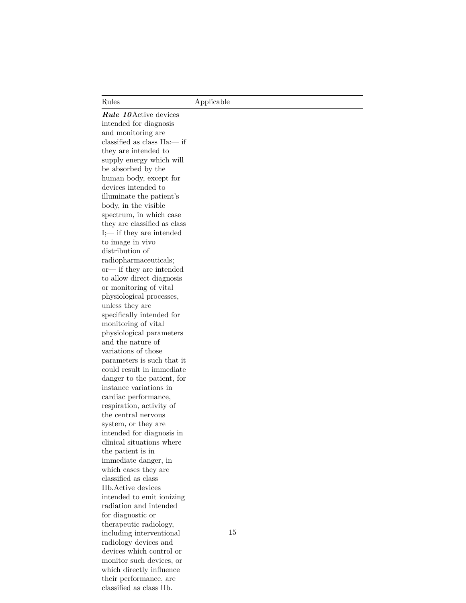*Rule 10*Active devices intended for diagnosis and monitoring are classified as class IIa:— if they are intended to supply energy which will be absorbed by the human body, except for devices intended to illuminate the patient's body, in the visible spectrum, in which case they are classified as class I;— if they are intended to image in vivo distribution of radiopharmaceuticals; or— if they are intended to allow direct diagnosis or monitoring of vital physiological processes, unless they are specifically intended for monitoring of vital physiological parameters and the nature of variations of those parameters is such that it could result in immediate danger to the patient, for instance variations in cardiac performance, respiration, activity of the central nervous system, or they are intended for diagnosis in clinical situations where the patient is in immediate danger, in which cases they are classified as class IIb.Active devices intended to emit ionizing radiation and intended for diagnostic or therapeutic radiology, including interventional radiology devices and devices which control or monitor such devices, or which directly influence their performance, are classified as class IIb.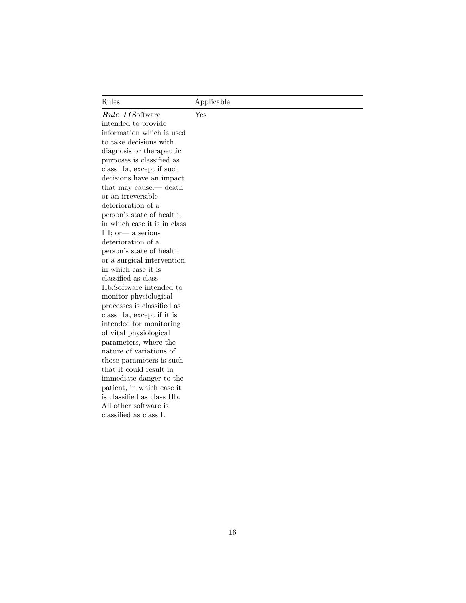*Rule 11*Software intended to provide information which is used to take decisions with diagnosis or therapeutic purposes is classified as class IIa, except if such decisions have an impact that may cause:— death or an irreversible deterioration of a person's state of health, in which case it is in class III; or— a serious deterioration of a person's state of health or a surgical intervention, in which case it is classified as class IIb.Software intended to monitor physiological processes is classified as class IIa, except if it is intended for monitoring of vital physiological parameters, where the nature of variations of those parameters is such that it could result in immediate danger to the patient, in which case it is classified as class IIb. All other software is classified as class I. Yes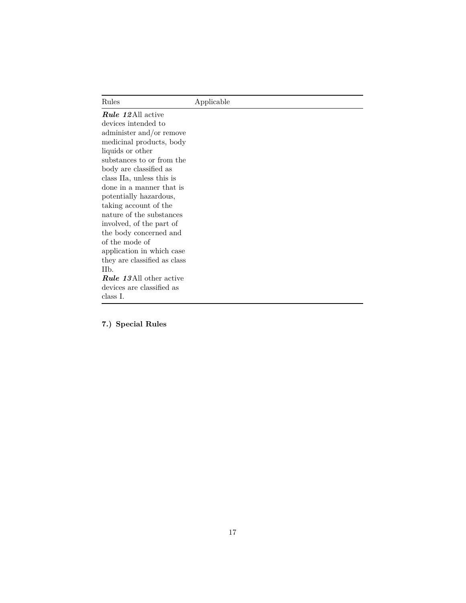| Rules                          | Applicable |
|--------------------------------|------------|
| <b>Rule 12All active</b>       |            |
| devices intended to            |            |
| administer and/or remove       |            |
| medicinal products, body       |            |
| liquids or other               |            |
| substances to or from the      |            |
| body are classified as         |            |
| class IIa, unless this is      |            |
| done in a manner that is       |            |
| potentially hazardous,         |            |
| taking account of the          |            |
| nature of the substances       |            |
| involved, of the part of       |            |
| the body concerned and         |            |
| of the mode of                 |            |
| application in which case      |            |
| they are classified as class   |            |
| II <sub>b</sub> .              |            |
| <b>Rule 13All other active</b> |            |
| devices are classified as      |            |
| class I.                       |            |

**7.) Special Rules**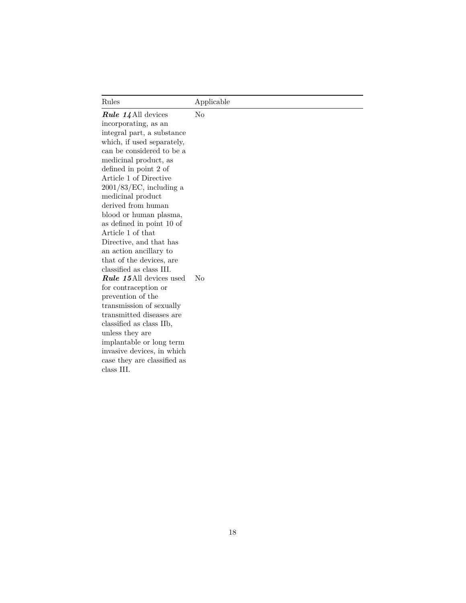| Rules                                                                                                                                                                                                                                                                                                                                                                                                                                                                                                                                                                                                                                                                                                                                                                                   | Applicable                       |
|-----------------------------------------------------------------------------------------------------------------------------------------------------------------------------------------------------------------------------------------------------------------------------------------------------------------------------------------------------------------------------------------------------------------------------------------------------------------------------------------------------------------------------------------------------------------------------------------------------------------------------------------------------------------------------------------------------------------------------------------------------------------------------------------|----------------------------------|
| <i>Rule 14</i> All devices<br>incorporating, as an<br>integral part, a substance<br>which, if used separately,<br>can be considered to be a<br>medicinal product, as<br>defined in point 2 of<br>Article 1 of Directive<br>$2001/83/EC$ , including a<br>medicinal product<br>derived from human<br>blood or human plasma,<br>as defined in point 10 of<br>Article 1 of that<br>Directive, and that has<br>an action ancillary to<br>that of the devices, are<br>classified as class III.<br><b>Rule 15</b> All devices used<br>for contraception or<br>prevention of the<br>transmission of sexually<br>transmitted diseases are<br>classified as class IIb,<br>unless they are<br>implantable or long term<br>invasive devices, in which<br>case they are classified as<br>class III. | N <sub>0</sub><br>N <sub>0</sub> |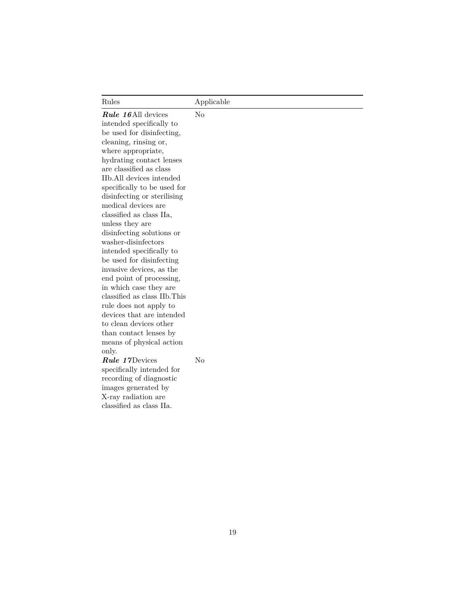Rules Applicable *Rule 16*All devices intended specifically to be used for disinfecting, cleaning, rinsing or, where appropriate, hydrating contact lenses are classified as class IIb.All devices intended specifically to be used for disinfecting or sterilising medical devices are classified as class IIa, unless they are disinfecting solutions or washer-disinfectors intended specifically to be used for disinfecting invasive devices, as the end point of processing, in which case they are classified as class IIb.This rule does not apply to devices that are intended to clean devices other than contact lenses by means of physical action only. No *Rule 17*Devices specifically intended for recording of diagnostic images generated by X-ray radiation are classified as class IIa. No

19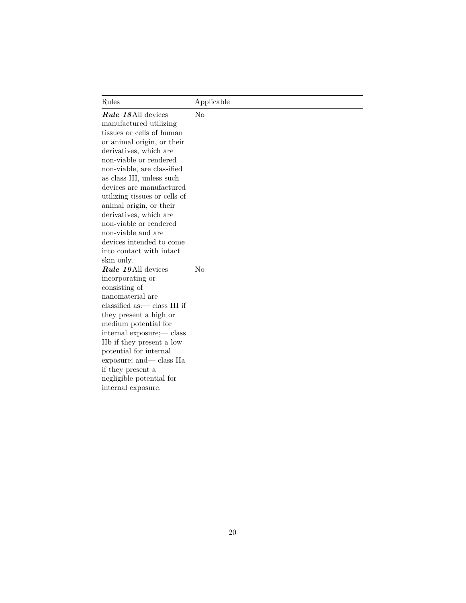| Rules                                                                                                                                                                                                                                                                                                                                                                                                                                                                  | Applicable |
|------------------------------------------------------------------------------------------------------------------------------------------------------------------------------------------------------------------------------------------------------------------------------------------------------------------------------------------------------------------------------------------------------------------------------------------------------------------------|------------|
| <b>Rule 18</b> All devices<br>manufactured utilizing<br>tissues or cells of human<br>or animal origin, or their<br>derivatives, which are<br>non-viable or rendered<br>non-viable, are classified<br>as class III, unless such<br>devices are manufactured<br>utilizing tissues or cells of<br>animal origin, or their<br>derivatives, which are<br>non-viable or rendered<br>non-viable and are<br>devices intended to come<br>into contact with intact<br>skin only. | $\rm No$   |
| <b>Rule 19</b> All devices<br>incorporating or<br>consisting of<br>nanomaterial are<br>$classified as:$ class III if<br>they present a high or<br>medium potential for<br>internal exposure;— class<br>IIb if they present a low<br>potential for internal<br>exposure; and— class IIa<br>if they present a<br>negligible potential for<br>internal exposure.                                                                                                          | No         |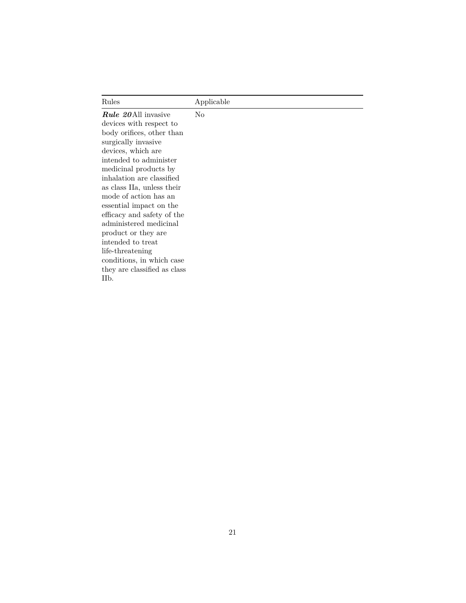Rules Applicable *Rule 20*All invasive devices with respect to body orifices, other than surgically invasive devices, which are intended to administer medicinal products by inhalation are classified as class IIa, unless their mode of action has an essential impact on the efficacy and safety of the administered medicinal product or they are intended to treat life-threatening conditions, in which case they are classified as class IIb. No

#### 21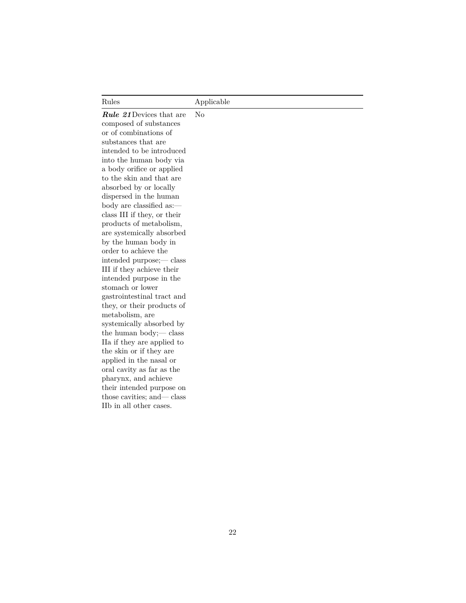*Rule 21*Devices that are composed of substances or of combinations of substances that are intended to be introduced into the human body via a body orifice or applied to the skin and that are absorbed by or locally dispersed in the human body are classified as: class III if they, or their products of metabolism, are systemically absorbed by the human body in order to achieve the intended purpose;— class III if they achieve their intended purpose in the stomach or lower gastrointestinal tract and they, or their products of metabolism, are systemically absorbed by the human body;— class IIa if they are applied to the skin or if they are applied in the nasal or oral cavity as far as the pharynx, and achieve their intended purpose on those cavities; and— class IIb in all other cases. No